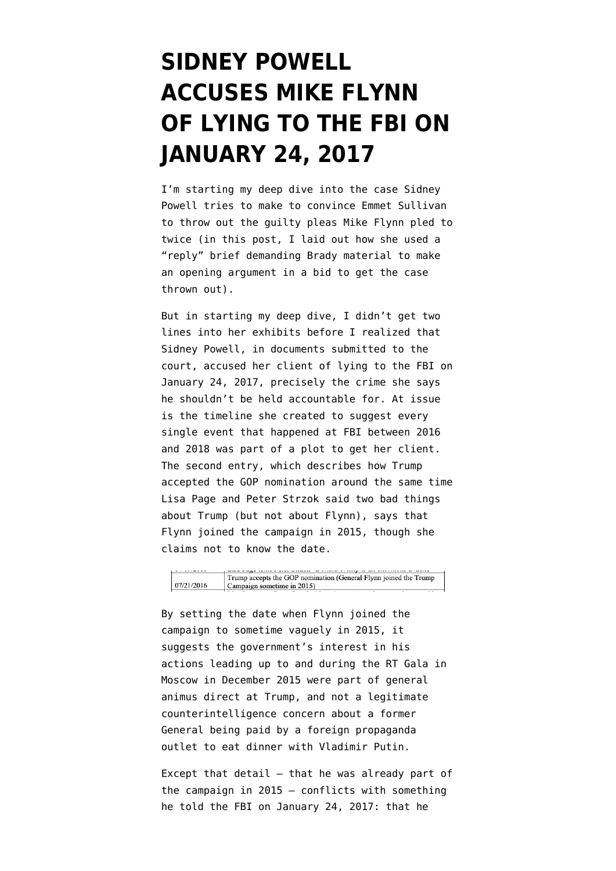## **[SIDNEY POWELL](https://www.emptywheel.net/2019/10/28/sidney-powell-accuses-mike-flynn-of-lying-to-the-fbi-on-january-24-2017/) [ACCUSES MIKE FLYNN](https://www.emptywheel.net/2019/10/28/sidney-powell-accuses-mike-flynn-of-lying-to-the-fbi-on-january-24-2017/) [OF LYING TO THE FBI ON](https://www.emptywheel.net/2019/10/28/sidney-powell-accuses-mike-flynn-of-lying-to-the-fbi-on-january-24-2017/) [JANUARY 24, 2017](https://www.emptywheel.net/2019/10/28/sidney-powell-accuses-mike-flynn-of-lying-to-the-fbi-on-january-24-2017/)**

I'm starting my deep dive into the case Sidney Powell tries to make to convince Emmet Sullivan to throw out the guilty pleas Mike Flynn pled to twice (in [this post](https://www.emptywheel.net/2019/10/25/sidney-powell-attempts-to-rewrite-criminal-investigative-procedure/), I laid out how she used a ["reply" brief](https://www.courtlistener.com/recap/gov.uscourts.dcd.191592/gov.uscourts.dcd.191592.129.2.pdf) demanding Brady material to make an opening argument in a bid to get the case thrown out).

But in starting my deep dive, I didn't get two lines into her exhibits before I realized that Sidney Powell, in documents submitted to the court, accused her client of lying to the FBI on January 24, 2017, precisely the crime she says he shouldn't be held accountable for. At issue is [the timeline](https://www.courtlistener.com/docket/6234142/129/3/united-states-v-flynn/) she created to suggest every single event that happened at FBI between 2016 and 2018 was part of a plot to get her client. The second entry, which describes how Trump accepted the GOP nomination around the same time Lisa Page and Peter Strzok said two bad things about Trump (but not about Flynn), says that Flynn joined the campaign in 2015, though she claims not to know the date.

By setting the date when Flynn joined the campaign to sometime vaguely in 2015, it suggests the government's interest in his actions leading up to and during the RT Gala in Moscow in December 2015 were part of general animus direct at Trump, and not a legitimate counterintelligence concern about a former General being paid by a foreign propaganda outlet to eat dinner with Vladimir Putin.

Except that detail — that he was already part of the campaign in 2015 — conflicts with [something](https://www.documentcloud.org/documents/6140195-190606-Flynn-302-Unredacted.html) [he told the FBI](https://www.documentcloud.org/documents/6140195-190606-Flynn-302-Unredacted.html) on January 24, 2017: that he

Trump accepts the GOP nomination (General Flynn joined the Trump 07/21/2016 Campaign sometime in 2015)